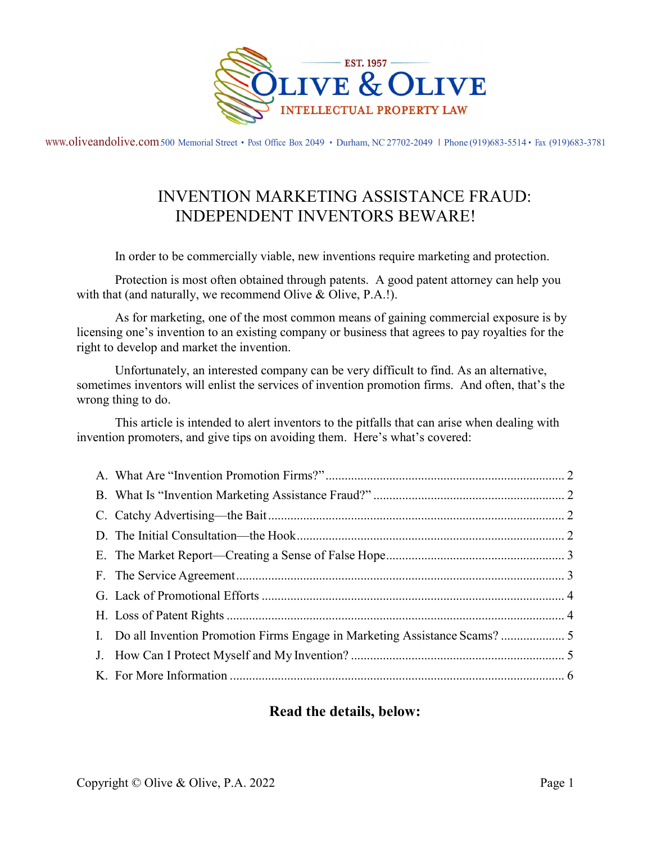

www.oliveandolive.com 500 Memorial Street • Post Office Box 2049 • Durham, NC 27702-2049 I Phone (919)683-5514 • Fax (919)683-3781

# INVENTION MARKETING ASSISTANCE FRAUD: INDEPENDENT INVENTORS BEWARE!

In order to be commercially viable, new inventions require marketing and protection.

Protection is most often obtained through patents. A good patent attorney can help you with that (and naturally, we recommend Olive & Olive, P.A.!).

As for marketing, one of the most common means of gaining commercial exposure is by licensing one's invention to an existing company or business that agrees to pay royalties for the right to develop and market the invention.

Unfortunately, an interested company can be very difficult to find. As an alternative, sometimes inventors will enlist the services of invention promotion firms. And often, that's the wrong thing to do.

This article is intended to alert inventors to the pitfalls that can arise when dealing with invention promoters, and give tips on avoiding them. Here's what's covered:

# Read the details, below: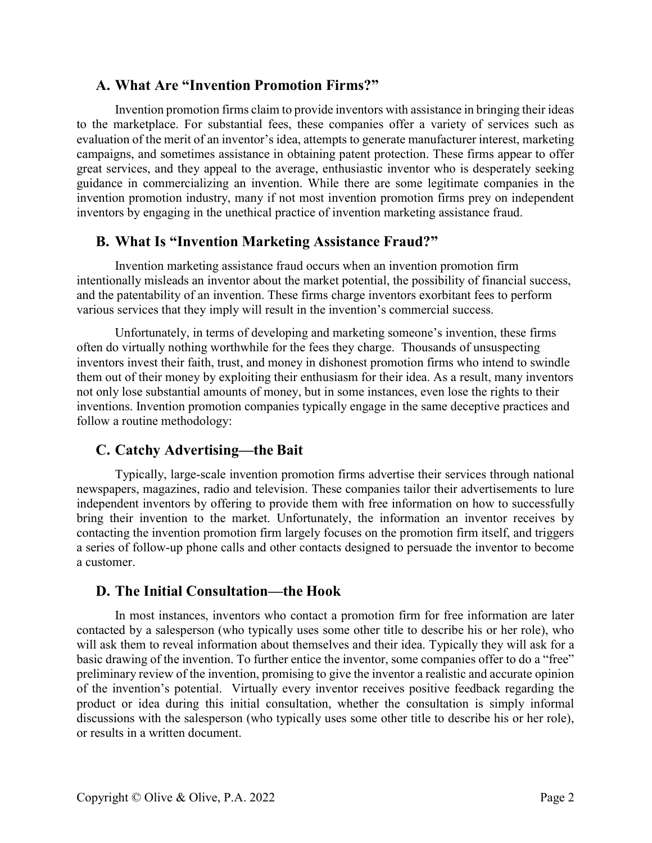#### A. What Are "Invention Promotion Firms?"

Invention promotion firms claim to provide inventors with assistance in bringing their ideas to the marketplace. For substantial fees, these companies offer a variety of services such as evaluation of the merit of an inventor's idea, attempts to generate manufacturer interest, marketing campaigns, and sometimes assistance in obtaining patent protection. These firms appear to offer great services, and they appeal to the average, enthusiastic inventor who is desperately seeking guidance in commercializing an invention. While there are some legitimate companies in the invention promotion industry, many if not most invention promotion firms prey on independent inventors by engaging in the unethical practice of invention marketing assistance fraud.

# B. What Is "Invention Marketing Assistance Fraud?"

Invention marketing assistance fraud occurs when an invention promotion firm intentionally misleads an inventor about the market potential, the possibility of financial success, and the patentability of an invention. These firms charge inventors exorbitant fees to perform various services that they imply will result in the invention's commercial success.

Unfortunately, in terms of developing and marketing someone's invention, these firms often do virtually nothing worthwhile for the fees they charge. Thousands of unsuspecting inventors invest their faith, trust, and money in dishonest promotion firms who intend to swindle them out of their money by exploiting their enthusiasm for their idea. As a result, many inventors not only lose substantial amounts of money, but in some instances, even lose the rights to their inventions. Invention promotion companies typically engage in the same deceptive practices and follow a routine methodology:

# C. Catchy Advertising—the Bait

Typically, large-scale invention promotion firms advertise their services through national newspapers, magazines, radio and television. These companies tailor their advertisements to lure independent inventors by offering to provide them with free information on how to successfully bring their invention to the market. Unfortunately, the information an inventor receives by contacting the invention promotion firm largely focuses on the promotion firm itself, and triggers a series of follow-up phone calls and other contacts designed to persuade the inventor to become a customer.

# D. The Initial Consultation—the Hook

In most instances, inventors who contact a promotion firm for free information are later contacted by a salesperson (who typically uses some other title to describe his or her role), who will ask them to reveal information about themselves and their idea. Typically they will ask for a basic drawing of the invention. To further entice the inventor, some companies offer to do a "free" preliminary review of the invention, promising to give the inventor a realistic and accurate opinion of the invention's potential. Virtually every inventor receives positive feedback regarding the product or idea during this initial consultation, whether the consultation is simply informal discussions with the salesperson (who typically uses some other title to describe his or her role), or results in a written document.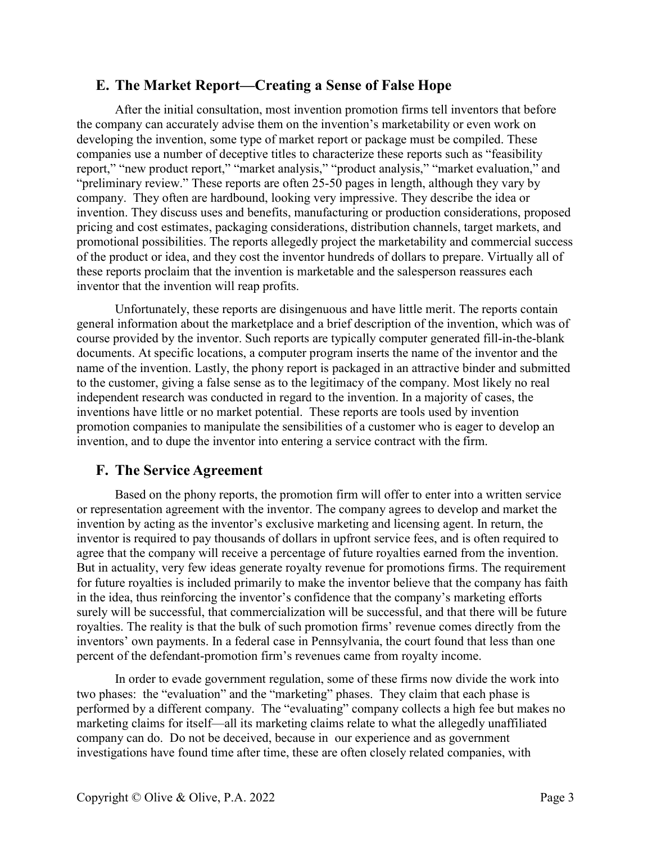#### E. The Market Report—Creating a Sense of False Hope

After the initial consultation, most invention promotion firms tell inventors that before the company can accurately advise them on the invention's marketability or even work on developing the invention, some type of market report or package must be compiled. These companies use a number of deceptive titles to characterize these reports such as "feasibility report," "new product report," "market analysis," "product analysis," "market evaluation," and "preliminary review." These reports are often 25-50 pages in length, although they vary by company. They often are hardbound, looking very impressive. They describe the idea or invention. They discuss uses and benefits, manufacturing or production considerations, proposed pricing and cost estimates, packaging considerations, distribution channels, target markets, and promotional possibilities. The reports allegedly project the marketability and commercial success of the product or idea, and they cost the inventor hundreds of dollars to prepare. Virtually all of these reports proclaim that the invention is marketable and the salesperson reassures each inventor that the invention will reap profits.

Unfortunately, these reports are disingenuous and have little merit. The reports contain general information about the marketplace and a brief description of the invention, which was of course provided by the inventor. Such reports are typically computer generated fill-in-the-blank documents. At specific locations, a computer program inserts the name of the inventor and the name of the invention. Lastly, the phony report is packaged in an attractive binder and submitted to the customer, giving a false sense as to the legitimacy of the company. Most likely no real independent research was conducted in regard to the invention. In a majority of cases, the inventions have little or no market potential. These reports are tools used by invention promotion companies to manipulate the sensibilities of a customer who is eager to develop an invention, and to dupe the inventor into entering a service contract with the firm.

# F. The Service Agreement

Based on the phony reports, the promotion firm will offer to enter into a written service or representation agreement with the inventor. The company agrees to develop and market the invention by acting as the inventor's exclusive marketing and licensing agent. In return, the inventor is required to pay thousands of dollars in upfront service fees, and is often required to agree that the company will receive a percentage of future royalties earned from the invention. But in actuality, very few ideas generate royalty revenue for promotions firms. The requirement for future royalties is included primarily to make the inventor believe that the company has faith in the idea, thus reinforcing the inventor's confidence that the company's marketing efforts surely will be successful, that commercialization will be successful, and that there will be future royalties. The reality is that the bulk of such promotion firms' revenue comes directly from the inventors' own payments. In a federal case in Pennsylvania, the court found that less than one percent of the defendant-promotion firm's revenues came from royalty income.

In order to evade government regulation, some of these firms now divide the work into two phases: the "evaluation" and the "marketing" phases. They claim that each phase is performed by a different company. The "evaluating" company collects a high fee but makes no marketing claims for itself—all its marketing claims relate to what the allegedly unaffiliated company can do. Do not be deceived, because in our experience and as government investigations have found time after time, these are often closely related companies, with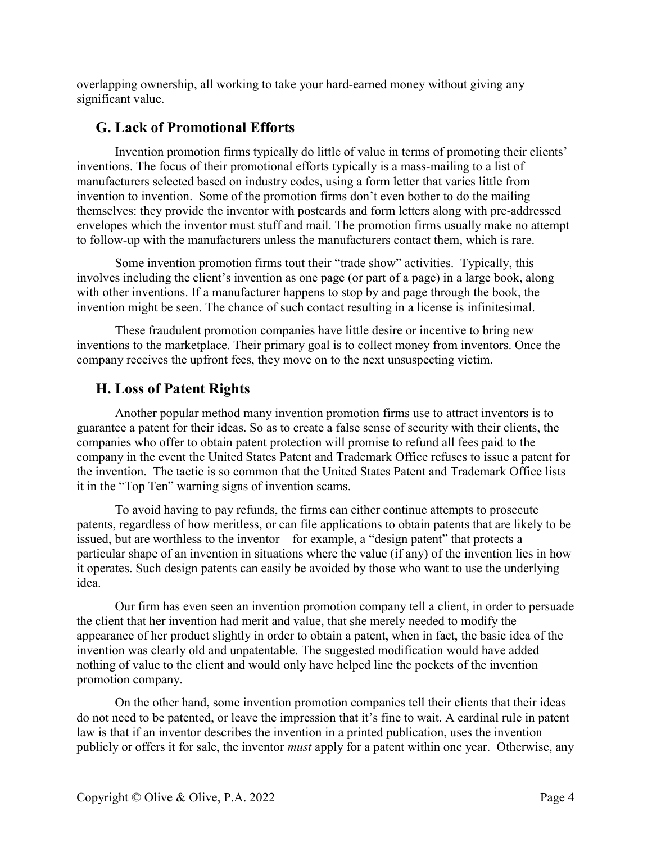overlapping ownership, all working to take your hard-earned money without giving any significant value.

# G. Lack of Promotional Efforts

Invention promotion firms typically do little of value in terms of promoting their clients' inventions. The focus of their promotional efforts typically is a mass-mailing to a list of manufacturers selected based on industry codes, using a form letter that varies little from invention to invention. Some of the promotion firms don't even bother to do the mailing themselves: they provide the inventor with postcards and form letters along with pre-addressed envelopes which the inventor must stuff and mail. The promotion firms usually make no attempt to follow-up with the manufacturers unless the manufacturers contact them, which is rare.

Some invention promotion firms tout their "trade show" activities. Typically, this involves including the client's invention as one page (or part of a page) in a large book, along with other inventions. If a manufacturer happens to stop by and page through the book, the invention might be seen. The chance of such contact resulting in a license is infinitesimal.

These fraudulent promotion companies have little desire or incentive to bring new inventions to the marketplace. Their primary goal is to collect money from inventors. Once the company receives the upfront fees, they move on to the next unsuspecting victim.

# H. Loss of Patent Rights

Another popular method many invention promotion firms use to attract inventors is to guarantee a patent for their ideas. So as to create a false sense of security with their clients, the companies who offer to obtain patent protection will promise to refund all fees paid to the company in the event the United States Patent and Trademark Office refuses to issue a patent for the invention. The tactic is so common that the United States Patent and Trademark Office lists it in the "Top Ten" warning signs of invention scams.

To avoid having to pay refunds, the firms can either continue attempts to prosecute patents, regardless of how meritless, or can file applications to obtain patents that are likely to be issued, but are worthless to the inventor—for example, a "design patent" that protects a particular shape of an invention in situations where the value (if any) of the invention lies in how it operates. Such design patents can easily be avoided by those who want to use the underlying idea.

Our firm has even seen an invention promotion company tell a client, in order to persuade the client that her invention had merit and value, that she merely needed to modify the appearance of her product slightly in order to obtain a patent, when in fact, the basic idea of the invention was clearly old and unpatentable. The suggested modification would have added nothing of value to the client and would only have helped line the pockets of the invention promotion company.

On the other hand, some invention promotion companies tell their clients that their ideas do not need to be patented, or leave the impression that it's fine to wait. A cardinal rule in patent law is that if an inventor describes the invention in a printed publication, uses the invention publicly or offers it for sale, the inventor must apply for a patent within one year. Otherwise, any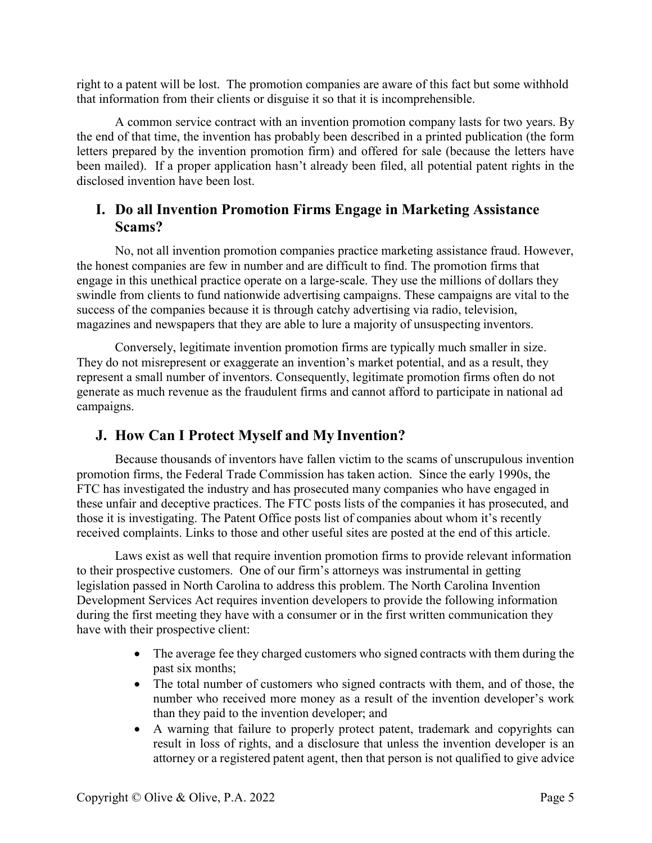right to a patent will be lost. The promotion companies are aware of this fact but some withhold that information from their clients or disguise it so that it is incomprehensible.

A common service contract with an invention promotion company lasts for two years. By the end of that time, the invention has probably been described in a printed publication (the form letters prepared by the invention promotion firm) and offered for sale (because the letters have been mailed). If a proper application hasn't already been filed, all potential patent rights in the disclosed invention have been lost.

# I. Do all Invention Promotion Firms Engage in Marketing Assistance Scams?

No, not all invention promotion companies practice marketing assistance fraud. However, the honest companies are few in number and are difficult to find. The promotion firms that engage in this unethical practice operate on a large-scale. They use the millions of dollars they swindle from clients to fund nationwide advertising campaigns. These campaigns are vital to the success of the companies because it is through catchy advertising via radio, television, magazines and newspapers that they are able to lure a majority of unsuspecting inventors.

Conversely, legitimate invention promotion firms are typically much smaller in size. They do not misrepresent or exaggerate an invention's market potential, and as a result, they represent a small number of inventors. Consequently, legitimate promotion firms often do not generate as much revenue as the fraudulent firms and cannot afford to participate in national ad campaigns.

# J. How Can I Protect Myself and My Invention?

Because thousands of inventors have fallen victim to the scams of unscrupulous invention promotion firms, the Federal Trade Commission has taken action. Since the early 1990s, the FTC has investigated the industry and has prosecuted many companies who have engaged in these unfair and deceptive practices. The FTC posts lists of the companies it has prosecuted, and those it is investigating. The Patent Office posts list of companies about whom it's recently received complaints. Links to those and other useful sites are posted at the end of this article.

Laws exist as well that require invention promotion firms to provide relevant information to their prospective customers. One of our firm's attorneys was instrumental in getting legislation passed in North Carolina to address this problem. The North Carolina Invention Development Services Act requires invention developers to provide the following information during the first meeting they have with a consumer or in the first written communication they have with their prospective client:

- The average fee they charged customers who signed contracts with them during the past six months;
- The total number of customers who signed contracts with them, and of those, the number who received more money as a result of the invention developer's work than they paid to the invention developer; and
- A warning that failure to properly protect patent, trademark and copyrights can result in loss of rights, and a disclosure that unless the invention developer is an attorney or a registered patent agent, then that person is not qualified to give advice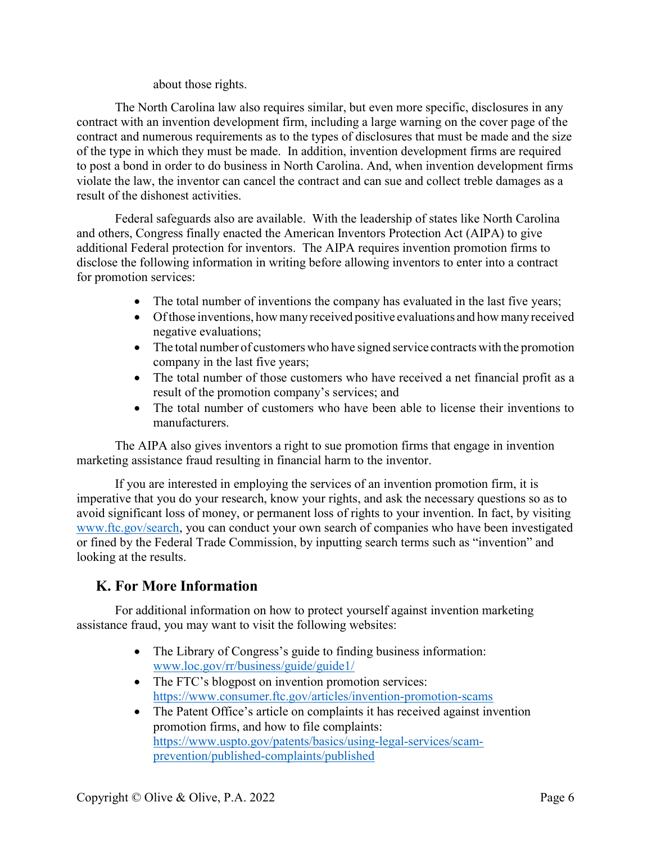#### about those rights.

The North Carolina law also requires similar, but even more specific, disclosures in any contract with an invention development firm, including a large warning on the cover page of the contract and numerous requirements as to the types of disclosures that must be made and the size of the type in which they must be made. In addition, invention development firms are required to post a bond in order to do business in North Carolina. And, when invention development firms violate the law, the inventor can cancel the contract and can sue and collect treble damages as a result of the dishonest activities.

Federal safeguards also are available. With the leadership of states like North Carolina and others, Congress finally enacted the American Inventors Protection Act (AIPA) to give additional Federal protection for inventors. The AIPA requires invention promotion firms to disclose the following information in writing before allowing inventors to enter into a contract for promotion services:

- The total number of inventions the company has evaluated in the last five years;
- Of those inventions, how many received positive evaluations and how many received negative evaluations;
- The total number of customers who have signed service contracts with the promotion company in the last five years;
- The total number of those customers who have received a net financial profit as a result of the promotion company's services; and
- The total number of customers who have been able to license their inventions to manufacturers.

The AIPA also gives inventors a right to sue promotion firms that engage in invention marketing assistance fraud resulting in financial harm to the inventor.

If you are interested in employing the services of an invention promotion firm, it is imperative that you do your research, know your rights, and ask the necessary questions so as to avoid significant loss of money, or permanent loss of rights to your invention. In fact, by visiting www.ftc.gov/search, you can conduct your own search of companies who have been investigated or fined by the Federal Trade Commission, by inputting search terms such as "invention" and looking at the results.

# K. For More Information

For additional information on how to protect yourself against invention marketing assistance fraud, you may want to visit the following websites:

- The Library of Congress's guide to finding business information: www.loc.gov/rr/business/guide/guide1/
- The FTC's blogpost on invention promotion services: https://www.consumer.ftc.gov/articles/invention-promotion-scams
- The Patent Office's article on complaints it has received against invention promotion firms, and how to file complaints: https://www.uspto.gov/patents/basics/using-legal-services/scamprevention/published-complaints/published